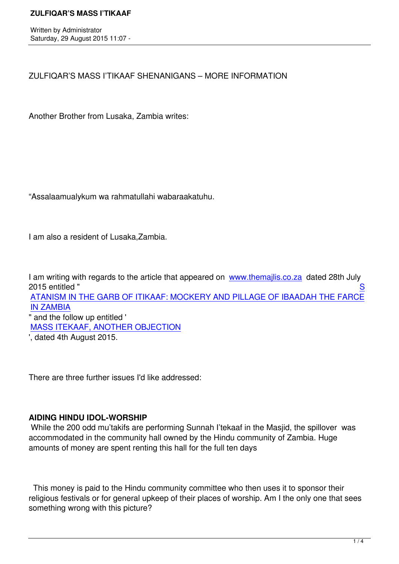ZULFIQAR'S MASS I'TIKAAF SHENANIGANS – MORE INFORMATION

Another Brother from Lusaka, Zambia writes:

"Assalaamualykum wa rahmatullahi wabaraakatuhu.

I am also a resident of Lusaka,Zambia.

I am writing with regards to the article that appeared on www.themailis.co.za dated 28th July 2015 entitled " Sales Controller to the Sales Controller to the Sales Controller to the Sales Controller to the S

ATANISM IN THE GARB OF ITIKAAF: MOCKERY AND PILLAGE OF IBAADAH THE FARCE IN ZAMBIA

" and the follow up entitled ' [MASS ITEKAAF, ANOTHER OBJECTION](index.php?option=com_content&view=article&id=546:satanism-in-the-garb-of-itikaaf&catid=34:majlis-articles&Itemid=27)

'[, dated 4th](index.php?option=com_content&view=article&id=546:satanism-in-the-garb-of-itikaaf&catid=34:majlis-articles&Itemid=27) August 2015.

There are three further issues I'd like addressed:

# **AIDING HINDU IDOL-WORSHIP**

 While the 200 odd mu'takifs are performing Sunnah I'tekaaf in the Masjid, the spillover was accommodated in the community hall owned by the Hindu community of Zambia. Huge amounts of money are spent renting this hall for the full ten days

 This money is paid to the Hindu community committee who then uses it to sponsor their religious festivals or for general upkeep of their places of worship. Am I the only one that sees something wrong with this picture?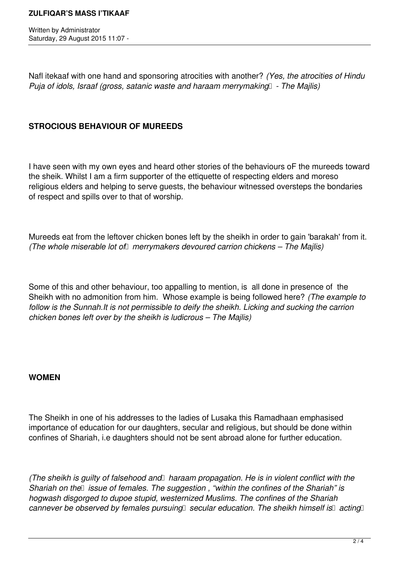Written by Administrator Saturday, 29 August 2015 11:07 -

Nafl itekaaf with one hand and sponsoring atrocities with another? *(Yes, the atrocities of Hindu Puja of idols, Israaf (gross, satanic waste and haraam merrymaking* - The Majlis)

# **STROCIOUS BEHAVIOUR OF MUREEDS**

I have seen with my own eyes and heard other stories of the behaviours oF the mureeds toward the sheik. Whilst I am a firm supporter of the ettiquette of respecting elders and moreso religious elders and helping to serve guests, the behaviour witnessed oversteps the bondaries of respect and spills over to that of worship.

Mureeds eat from the leftover chicken bones left by the sheikh in order to gain 'barakah' from it. *(The whole miserable lot of merrymakers devoured carrion chickens – The Majlis)* 

Some of this and other behaviour, too appalling to mention, is all done in presence of the Sheikh with no admonition from him. Whose example is being followed here? *(The example to follow is the Sunnah.It is not permissible to deify the sheikh. Licking and sucking the carrion chicken bones left over by the sheikh is ludicrous – The Majlis)*

## **WOMEN**

The Sheikh in one of his addresses to the ladies of Lusaka this Ramadhaan emphasised importance of education for our daughters, secular and religious, but should be done within confines of Shariah, i.e daughters should not be sent abroad alone for further education.

(The sheikh is guilty of falsehood and haraam propagation. He is in violent conflict with the *Shariah on the lissue of females. The suggestion , "within the confines of the Shariah" is hogwash disgorged to dupoe stupid, westernized Muslims. The confines of the Shariah cannever be observed by females pursuing secular education. The sheikh himself is* acting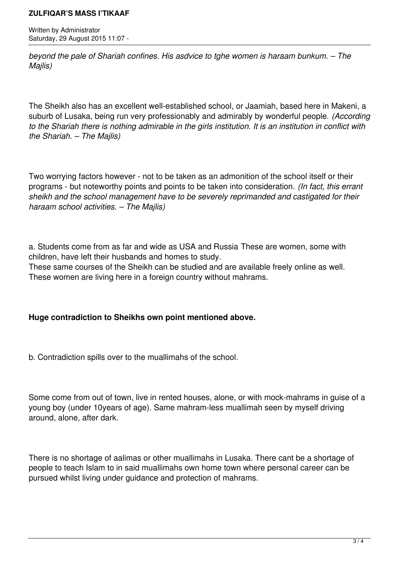#### **ZULFIQAR'S MASS I'TIKAAF**

Written by Administrator Saturday, 29 August 2015 11:07 -

*beyond the pale of Shariah confines. His asdvice to tghe women is haraam bunkum. – The Majlis)*

The Sheikh also has an excellent well-established school, or Jaamiah, based here in Makeni, a suburb of Lusaka, being run very professionably and admirably by wonderful people. *(According to the Shariah there is nothing admirable in the girls institution. It is an institution in conflict with the Shariah. – The Majlis)*

Two worrying factors however - not to be taken as an admonition of the school itself or their programs - but noteworthy points and points to be taken into consideration. *(In fact, this errant sheikh and the school management have to be severely reprimanded and castigated for their haraam school activities. – The Majlis)*

a. Students come from as far and wide as USA and Russia These are women, some with children, have left their husbands and homes to study.

These same courses of the Sheikh can be studied and are available freely online as well. These women are living here in a foreign country without mahrams.

## **Huge contradiction to Sheikhs own point mentioned above.**

b. Contradiction spills over to the muallimahs of the school.

Some come from out of town, live in rented houses, alone, or with mock-mahrams in guise of a young boy (under 10years of age). Same mahram-less muallimah seen by myself driving around, alone, after dark.

There is no shortage of aalimas or other muallimahs in Lusaka. There cant be a shortage of people to teach Islam to in said muallimahs own home town where personal career can be pursued whilst living under guidance and protection of mahrams.